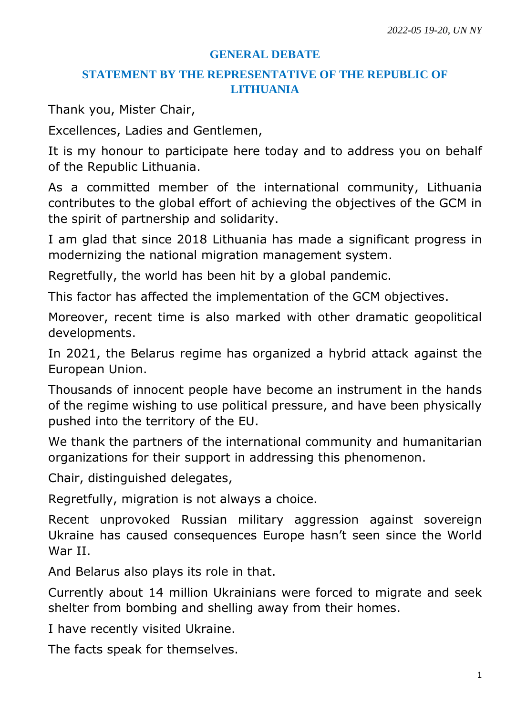## **GENERAL DEBATE**

## **STATEMENT BY THE REPRESENTATIVE OF THE REPUBLIC OF LITHUANIA**

Thank you, Mister Chair,

Excellences, Ladies and Gentlemen,

It is my honour to participate here today and to address you on behalf of the Republic Lithuania.

As a committed member of the international community, Lithuania contributes to the global effort of achieving the objectives of the GCM in the spirit of partnership and solidarity.

I am glad that since 2018 Lithuania has made a significant progress in modernizing the national migration management system.

Regretfully, the world has been hit by a global pandemic.

This factor has affected the implementation of the GCM objectives.

Moreover, recent time is also marked with other dramatic geopolitical developments.

In 2021, the Belarus regime has organized a hybrid attack against the European Union.

Thousands of innocent people have become an instrument in the hands of the regime wishing to use political pressure, and have been physically pushed into the territory of the EU.

We thank the partners of the international community and humanitarian organizations for their support in addressing this phenomenon.

Chair, distinguished delegates,

Regretfully, migration is not always a choice.

Recent unprovoked Russian military aggression against sovereign Ukraine has caused consequences Europe hasn't seen since the World War II.

And Belarus also plays its role in that.

Currently about 14 million Ukrainians were forced to migrate and seek shelter from bombing and shelling away from their homes.

I have recently visited Ukraine.

The facts speak for themselves.